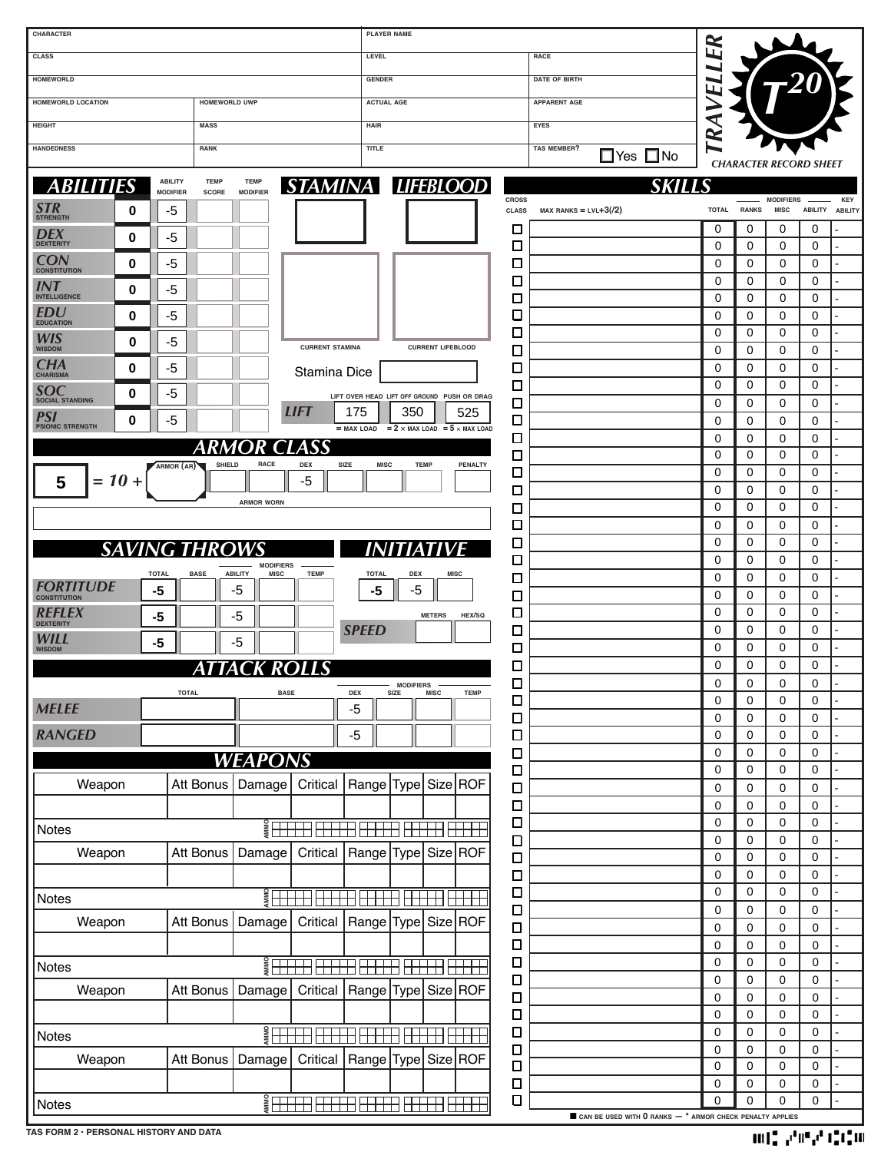| CHARACTER                                             |                                                                                                                                                                                                                                                                                                                     | <b>PLAYER NAME</b>                                                 |                                                              |                  |                  |                                 |                            |            |
|-------------------------------------------------------|---------------------------------------------------------------------------------------------------------------------------------------------------------------------------------------------------------------------------------------------------------------------------------------------------------------------|--------------------------------------------------------------------|--------------------------------------------------------------|------------------|------------------|---------------------------------|----------------------------|------------|
| <b>CLASS</b>                                          |                                                                                                                                                                                                                                                                                                                     | LEVEL                                                              | RACE                                                         | ER               |                  |                                 |                            |            |
| <b>HOMEWORLD</b>                                      |                                                                                                                                                                                                                                                                                                                     | <b>GENDER</b>                                                      | <b>DATE OF BIRTH</b>                                         |                  |                  |                                 |                            |            |
| HOMEWORLD LOCATION<br><b>HOMEWORLD UWP</b>            |                                                                                                                                                                                                                                                                                                                     | <b>ACTUAL AGE</b>                                                  | <b>APPARENT AGE</b>                                          | ц                |                  |                                 |                            |            |
| <b>HEIGHT</b>                                         | <b>MASS</b>                                                                                                                                                                                                                                                                                                         | <b>HAIR</b>                                                        | EYES                                                         | ₹                |                  |                                 |                            |            |
| <b>HANDEDNESS</b><br>RANK                             |                                                                                                                                                                                                                                                                                                                     | TITLE                                                              | <b>TAS MEMBER?</b>                                           | $\approx$        |                  |                                 |                            |            |
|                                                       |                                                                                                                                                                                                                                                                                                                     |                                                                    | $\square$ Yes $\square$ No                                   |                  |                  | <b>CHARACTER RECORD SHEET</b>   |                            |            |
| <b>ABILITY</b><br><b>ABILITIES</b><br><b>MODIFIER</b> | <b>TEMP</b><br><b>TEMP</b><br><b>MODIFIER</b><br>SCORE                                                                                                                                                                                                                                                              | STAMINA LIFEBLOOD                                                  | SKIL                                                         |                  |                  |                                 |                            |            |
| SIR<br>-5<br>0                                        |                                                                                                                                                                                                                                                                                                                     | <b>CROSS</b><br><b>CLASS</b>                                       | $MAX$ RANKS = LVL+3 $(2)$                                    | TOTAL RANKS      |                  | <b>MODIFIERS</b><br><b>MISC</b> | ABILITY ABILITY            | <b>KEY</b> |
| <b>STRENGTH</b>                                       |                                                                                                                                                                                                                                                                                                                     | □                                                                  |                                                              | $\Omega$         | 0                | 0                               | 0                          |            |
| DEX<br>-5<br>0<br><b>DEXTERITY</b>                    |                                                                                                                                                                                                                                                                                                                     | □                                                                  |                                                              | 0                | 0                | 0                               | 0                          |            |
| <b>CON</b><br>$-5$<br>0<br><b>CONSTITUTION</b>        |                                                                                                                                                                                                                                                                                                                     | □                                                                  |                                                              | 0                | 0                | 0                               | 0                          |            |
| INT<br>-5<br>0<br><b>INTELLIGENCE</b>                 |                                                                                                                                                                                                                                                                                                                     | □                                                                  |                                                              | 0                | 0                | 0                               | 0                          |            |
| EDU<br>$-5$<br>0                                      |                                                                                                                                                                                                                                                                                                                     | □<br>❏                                                             |                                                              | 0<br>0           | 0<br>0           | 0<br>$\mathbf 0$                | 0<br>0                     |            |
| <b>EDUCATION</b>                                      |                                                                                                                                                                                                                                                                                                                     | $\Box$                                                             |                                                              | 0                | 0                | 0                               | 0                          |            |
| WIS<br>-5<br>0<br><b>WISDOM</b>                       | <b>CURRENT STAMINA</b>                                                                                                                                                                                                                                                                                              | <b>CURRENT LIFEBLOOD</b><br>□                                      |                                                              | 0                | 0                | 0                               | 0                          |            |
| CHA<br>-5<br>0<br><b>CHARISMA</b>                     | Stamina Dice                                                                                                                                                                                                                                                                                                        | □                                                                  |                                                              | 0                | 0                | 0                               | 0                          |            |
| SOC<br>-5<br>0<br><b>SOCIAL STANDING</b>              |                                                                                                                                                                                                                                                                                                                     | □<br>LIFT OVER HEAD LIFT OFF GROUND PUSH OR DRAG                   |                                                              | 0                | 0                | 0                               | 0                          |            |
| PSI<br>$-5$<br>0                                      | <b>LIFT</b>                                                                                                                                                                                                                                                                                                         | □<br>175<br>350<br>525<br>$\Box$                                   |                                                              | 0<br>0           | 0<br>0           | 0<br>0                          | 0<br>0                     |            |
| <b>PSIONIC STRENGTH</b>                               |                                                                                                                                                                                                                                                                                                                     | $=$ MAX LOAD $=$ 2 $\times$ MAX LOAD $=$ 5 $\times$ MAX LOAD<br>□  |                                                              | 0                | 0                | 0                               | 0                          |            |
| ARMOR (AR)                                            | ARMOR CLASS<br>SHIELD<br><b>DEX</b><br><b>SIZE</b><br><b>RACE</b>                                                                                                                                                                                                                                                   | ◻<br><b>TEMP</b><br>PENALTY<br><b>MISC</b>                         |                                                              | 0                | 0                | 0                               | 0                          |            |
| $= 10 +$<br>5                                         | -5                                                                                                                                                                                                                                                                                                                  | □                                                                  |                                                              | 0                | 0                | 0                               | 0                          |            |
|                                                       | <b>ARMOR WORN</b>                                                                                                                                                                                                                                                                                                   | □                                                                  |                                                              | 0<br>0           | 0<br>0           | 0<br>0                          | 0<br>0                     |            |
|                                                       |                                                                                                                                                                                                                                                                                                                     | □<br>□                                                             |                                                              | 0                | 0                | 0                               | 0                          |            |
| <b>SAVING THROW</b>                                   |                                                                                                                                                                                                                                                                                                                     | □                                                                  |                                                              | 0                | 0                | 0                               | 0                          |            |
|                                                       | <b>MODIFIERS</b>                                                                                                                                                                                                                                                                                                    | □                                                                  |                                                              | 0                | 0                | 0                               | 0                          |            |
| <b>TOTAL</b><br><i><b>FORTITUDE</b></i><br>$-5$       | <b>ABILITY</b><br><b>MISC</b><br><b>TEMP</b><br><b>BASE</b><br>-5                                                                                                                                                                                                                                                   | <b>DEX</b><br><b>TOTAL</b><br><b>MISC</b><br>□<br>-5<br>-5         |                                                              | 0                | 0                | 0                               | 0                          |            |
| <b>CONSTITUTION</b>                                   |                                                                                                                                                                                                                                                                                                                     | $\Box$                                                             |                                                              | 0<br>0           | 0<br>0           | 0<br>$\mathbf 0$                | 0<br>0                     |            |
| REFLEX<br>-5<br><b>DEXTERITY</b>                      | -5                                                                                                                                                                                                                                                                                                                  | □<br><b>METERS</b><br>HEX/SQ<br><b>SPEED</b><br>□                  |                                                              | 0                | 0                | 0                               | 0                          |            |
| WILL<br>-5<br><b>WISDOM</b>                           | -5                                                                                                                                                                                                                                                                                                                  | □                                                                  |                                                              | 0                | 0                | 0                               | 0                          |            |
|                                                       | ATTACK<br><b>ROLLS</b>                                                                                                                                                                                                                                                                                              | $\Box$                                                             |                                                              | $\Omega$         | $\Omega$         | $\Omega$                        | 0                          |            |
| <b>TOTAL</b>                                          | <b>BASE</b>                                                                                                                                                                                                                                                                                                         | <b>MODIFIERS</b><br>Ц<br>SIZE<br><b>TEMP</b><br>DEX<br><b>MISC</b> |                                                              | 0                | 0                | 0                               | 0                          |            |
| <b>MELEE</b>                                          |                                                                                                                                                                                                                                                                                                                     | $\Box$<br>-5<br>$\Box$                                             |                                                              | $\mathbf 0$<br>0 | 0<br>$\mathbf 0$ | $\mathbf 0$<br>$\mathbf 0$      | $\mathbf 0$<br>0           |            |
| <b>RANGED</b>                                         |                                                                                                                                                                                                                                                                                                                     | $\Box$<br>$-5$                                                     |                                                              | 0                | 0                | $\mathbf 0$                     | 0                          |            |
|                                                       | <b>WEAPONS</b>                                                                                                                                                                                                                                                                                                      | $\Box$                                                             |                                                              | 0                | $\mathbf 0$      | $\mathbf 0$                     | 0                          |            |
|                                                       |                                                                                                                                                                                                                                                                                                                     | $\Box$                                                             |                                                              | 0                | 0                | $\mathbf 0$                     | 0                          |            |
| Weapon                                                | Att Bonus<br>Damage<br>Critical                                                                                                                                                                                                                                                                                     | Range Type Size ROF<br>$\Box$                                      |                                                              | 0                | $\mathbf 0$      | $\mathbf 0$                     | 0                          |            |
|                                                       |                                                                                                                                                                                                                                                                                                                     | $\Box$<br>$\Box$                                                   |                                                              | 0<br>0           | $\mathbf 0$<br>0 | $\mathbf 0$<br>$\mathbf 0$      | 0<br>0                     |            |
| Notes                                                 |                                                                                                                                                                                                                                                                                                                     | $\Box$                                                             |                                                              | 0                | $\mathbf 0$      | $\mathbf 0$                     | 0                          |            |
| Weapon                                                | Att Bonus<br>Damage<br>Critical                                                                                                                                                                                                                                                                                     | Range Type Size ROF<br>$\Box$                                      |                                                              | 0                | 0                | $\mathbf 0$                     | 0                          |            |
|                                                       |                                                                                                                                                                                                                                                                                                                     | $\Box$                                                             |                                                              | 0                | $\mathbf 0$      | $\mathbf 0$                     | 0                          |            |
| Notes                                                 |                                                                                                                                                                                                                                                                                                                     | $\Box$<br>$\Box$                                                   |                                                              | 0<br>0           | 0<br>$\mathbf 0$ | $\mathbf 0$<br>$\mathbf 0$      | 0<br>0                     |            |
| Weapon                                                | Att Bonus<br>Damage<br>Critical                                                                                                                                                                                                                                                                                     | Range Type Size ROF<br>$\Box$                                      |                                                              | 0                | $\mathbf 0$      | $\mathbf 0$                     | $\mathbf 0$                |            |
|                                                       |                                                                                                                                                                                                                                                                                                                     | $\Box$                                                             |                                                              | 0                | $\mathbf 0$      | $\mathbf 0$                     | $\mathbf 0$                |            |
| Notes                                                 |                                                                                                                                                                                                                                                                                                                     | $\Box$                                                             |                                                              | 0                | $\mathbf 0$      | $\mathbf 0$                     | $\mathbf 0$                |            |
| Weapon                                                | Att Bonus<br>Damage<br>Critical                                                                                                                                                                                                                                                                                     | $\Box$<br>Range Type Size ROF                                      |                                                              | 0                | 0                | $\mathbf 0$                     | $\mathbf 0$                |            |
|                                                       |                                                                                                                                                                                                                                                                                                                     | $\Box$<br>$\Box$                                                   |                                                              | 0<br>0           | 0<br>0           | $\mathbf 0$<br>$\mathbf 0$      | $\mathbf 0$<br>$\mathbf 0$ |            |
| Notes                                                 | $\frac{2}{3}$ $\frac{1}{3}$ $\frac{1}{3}$ $\frac{1}{3}$ $\frac{1}{3}$ $\frac{1}{3}$ $\frac{1}{3}$ $\frac{1}{3}$ $\frac{1}{3}$ $\frac{1}{3}$ $\frac{1}{3}$ $\frac{1}{3}$ $\frac{1}{3}$ $\frac{1}{3}$ $\frac{1}{3}$ $\frac{1}{3}$ $\frac{1}{3}$ $\frac{1}{3}$ $\frac{1}{3}$ $\frac{1}{3}$ $\frac{1}{3}$ $\frac{1}{3}$ | $\Box$                                                             |                                                              | 0                | 0                | $\mathbf 0$                     | $\mathbf 0$                |            |
| Weapon                                                | Att Bonus<br>Damage<br>Critical                                                                                                                                                                                                                                                                                     | $\Box$<br> Range   Type   Size   ROF                               |                                                              | 0                | 0                | $\mathbf 0$                     | $\mathbf 0$                |            |
|                                                       |                                                                                                                                                                                                                                                                                                                     | $\Box$                                                             |                                                              | 0                | 0                | $\mathbf 0$                     | 0                          |            |
|                                                       |                                                                                                                                                                                                                                                                                                                     | $\Box$<br>$\Box$                                                   |                                                              | 0<br>$\mathbf 0$ | 0<br>$\mathbf 0$ | $\mathbf 0$<br>$\mathbf 0$      | 0<br>0                     |            |
| Notes                                                 |                                                                                                                                                                                                                                                                                                                     | 88 BB                                                              | CAN BE USED WITH $0$ RANKS $-$ * ARMOR CHECK PENALTY APPLIES |                  |                  |                                 |                            |            |

**TAS FORM 2 • PERSONAL HISTORY AND DATA**

 $\|f\|_{\infty}^2\|v^{\rm eff}v^{\rm eff}\|_{\rm L^2}^2\|f\|_{\rm L^2}^2\|f\|_{\rm L^2}^2$